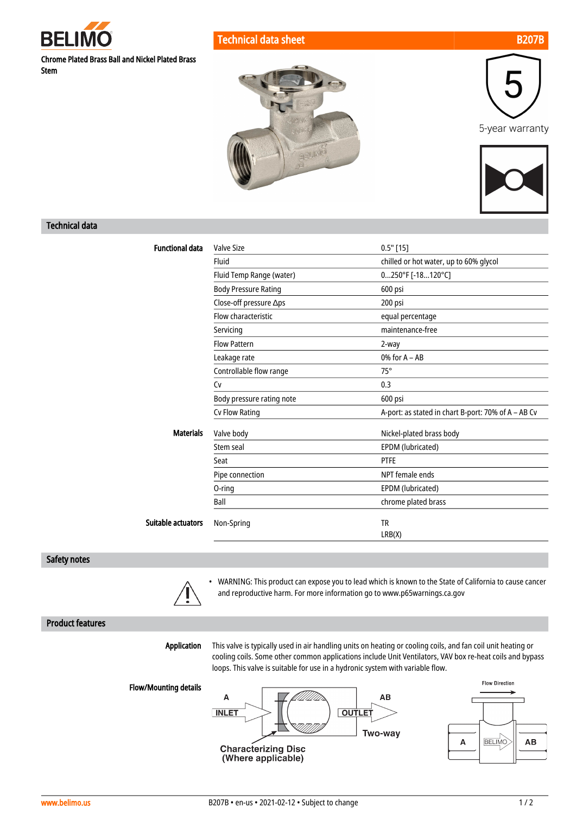

Technical data sheet B207B



Chrome Plated Brass Ball and Nickel Plated Brass Stem







#### Technical data

| <b>Functional data</b>    | Valve Size                  | $0.5"$ [15]                                         |
|---------------------------|-----------------------------|-----------------------------------------------------|
|                           | Fluid                       | chilled or hot water, up to 60% glycol              |
|                           | Fluid Temp Range (water)    | $0250^{\circ}$ F [-18120°C]                         |
|                           | <b>Body Pressure Rating</b> | 600 psi                                             |
|                           | Close-off pressure ∆ps      | 200 psi                                             |
|                           | Flow characteristic         | equal percentage                                    |
|                           | Servicing                   | maintenance-free                                    |
|                           | <b>Flow Pattern</b>         | 2-way                                               |
|                           | Leakage rate                | $0\%$ for $A - AB$                                  |
|                           | Controllable flow range     | $75^\circ$                                          |
|                           | Cv                          | 0.3                                                 |
|                           | Body pressure rating note   | 600 psi                                             |
|                           | Cv Flow Rating              | A-port: as stated in chart B-port: 70% of A - AB Cv |
| <b>Materials</b>          | Valve body                  | Nickel-plated brass body                            |
|                           | Stem seal                   | EPDM (lubricated)                                   |
|                           | Seat                        | <b>PTFE</b>                                         |
|                           | Pipe connection             | NPT female ends                                     |
|                           | 0-ring                      | EPDM (lubricated)                                   |
|                           | Ball                        | chrome plated brass                                 |
| <b>Suitable actuators</b> | Non-Spring                  | <b>TR</b>                                           |
|                           |                             | LRB(X)                                              |

#### Safety notes



• WARNING: This product can expose you to lead which is known to the State of California to cause cancer and reproductive harm. For more information go to www.p65warnings.ca.gov

### Product features

Application

This valve is typically used in air handling units on heating or cooling coils, and fan coil unit heating or cooling coils. Some other common applications include Unit Ventilators, VAV box re-heat coils and bypass loops. This valve is suitable for use in a hydronic system with variable flow.

Flow/Mounting details



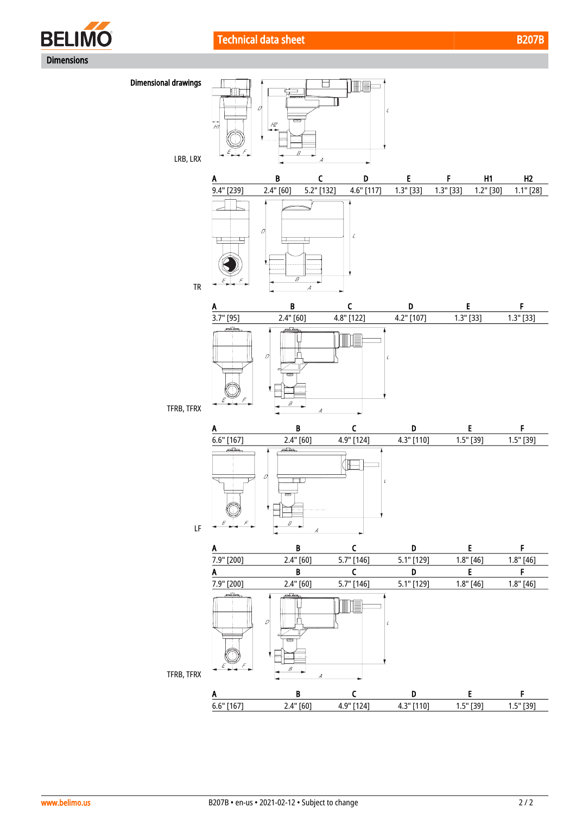





LRB, LRX

TFRB, TFRX





 $\overline{\mathbf{A}}$ 

 $\mathcal{C}$ 



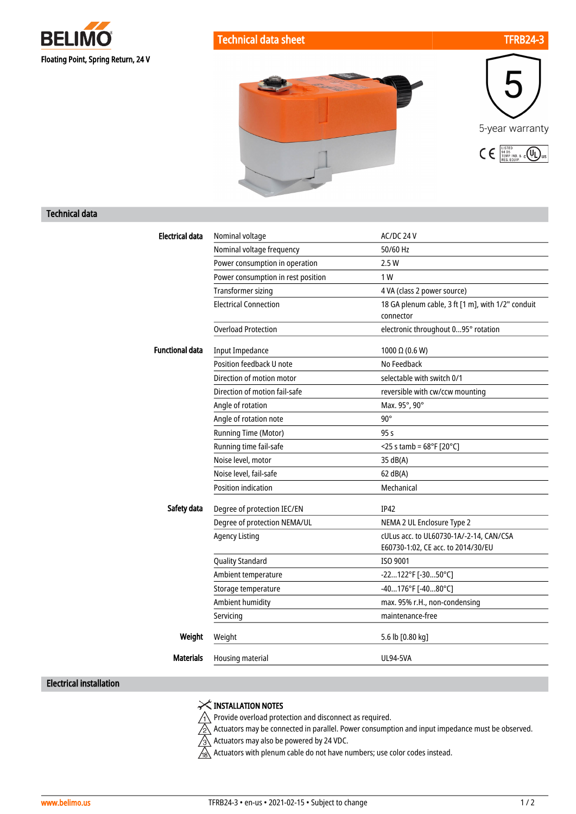





### Technical data

| <b>Electrical data</b> | Nominal voltage                    | AC/DC 24 V                                                                    |
|------------------------|------------------------------------|-------------------------------------------------------------------------------|
|                        | Nominal voltage frequency          | 50/60 Hz                                                                      |
|                        | Power consumption in operation     | 2.5W                                                                          |
|                        | Power consumption in rest position | 1 W                                                                           |
|                        | <b>Transformer sizing</b>          | 4 VA (class 2 power source)                                                   |
|                        | <b>Electrical Connection</b>       | 18 GA plenum cable, 3 ft [1 m], with 1/2" conduit<br>connector                |
|                        | <b>Overload Protection</b>         | electronic throughout 095° rotation                                           |
| <b>Functional data</b> | <b>Input Impedance</b>             | 1000 $\Omega$ (0.6 W)                                                         |
|                        | Position feedback U note           | No Feedback                                                                   |
|                        | Direction of motion motor          | selectable with switch 0/1                                                    |
|                        | Direction of motion fail-safe      | reversible with cw/ccw mounting                                               |
|                        | Angle of rotation                  | Max. 95°, 90°                                                                 |
|                        | Angle of rotation note             | $90^\circ$                                                                    |
|                        | Running Time (Motor)               | 95s                                                                           |
|                        | Running time fail-safe             | $<$ 25 s tamb = 68°F [20°C]                                                   |
|                        | Noise level, motor                 | 35 dB(A)                                                                      |
|                        | Noise level, fail-safe             | 62 dB(A)                                                                      |
|                        | <b>Position indication</b>         | Mechanical                                                                    |
| Safety data            | Degree of protection IEC/EN        | <b>IP42</b>                                                                   |
|                        | Degree of protection NEMA/UL       | NEMA 2 UL Enclosure Type 2                                                    |
|                        | <b>Agency Listing</b>              | cULus acc. to UL60730-1A/-2-14, CAN/CSA<br>E60730-1:02, CE acc. to 2014/30/EU |
|                        | <b>Quality Standard</b>            | ISO 9001                                                                      |
|                        | Ambient temperature                | -22122°F [-3050°C]                                                            |
|                        | Storage temperature                | -40176°F [-4080°C]                                                            |
|                        | Ambient humidity                   | max. 95% r.H., non-condensing                                                 |
|                        | Servicing                          | maintenance-free                                                              |
| Weight                 | Weight                             | 5.6 lb [0.80 kg]                                                              |
| <b>Materials</b>       | Housing material                   | <b>UL94-5VA</b>                                                               |
|                        |                                    |                                                                               |

## Electrical installation

# X INSTALLATION NOTES

 $\bigwedge$  Provide overload protection and disconnect as required.

 $\sqrt{2}$  Actuators may be connected in parallel. Power consumption and input impedance must be observed.

Actuators may also be powered by 24 VDC.

Actuators with plenum cable do not have numbers; use color codes instead.